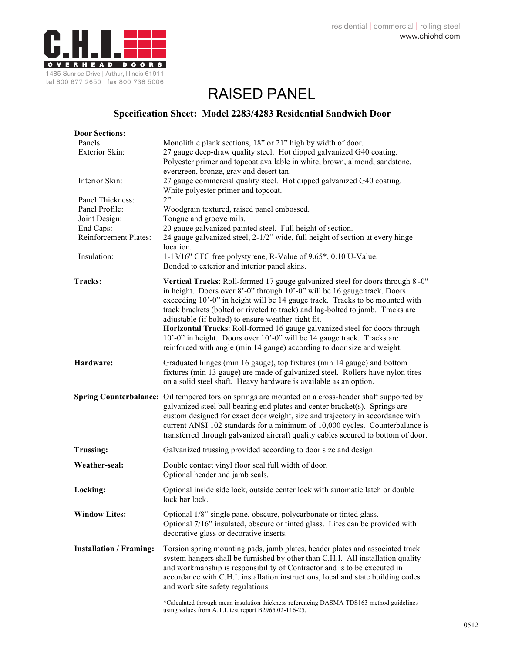

## RAISED PANEL

## **Specification Sheet: Model 2283/4283 Residential Sandwich Door**

| <b>Door Sections:</b>                                                                                    |                                                                                                                                                                                                                                                                                                                                                                                                                                                                                                                                                                                                                        |
|----------------------------------------------------------------------------------------------------------|------------------------------------------------------------------------------------------------------------------------------------------------------------------------------------------------------------------------------------------------------------------------------------------------------------------------------------------------------------------------------------------------------------------------------------------------------------------------------------------------------------------------------------------------------------------------------------------------------------------------|
| Panels:<br>Exterior Skin:                                                                                | Monolithic plank sections, 18" or 21" high by width of door.<br>27 gauge deep-draw quality steel. Hot dipped galvanized G40 coating.<br>Polyester primer and topcoat available in white, brown, almond, sandstone,<br>evergreen, bronze, gray and desert tan.                                                                                                                                                                                                                                                                                                                                                          |
| Interior Skin:                                                                                           | 27 gauge commercial quality steel. Hot dipped galvanized G40 coating.<br>White polyester primer and topcoat.                                                                                                                                                                                                                                                                                                                                                                                                                                                                                                           |
| Panel Thickness:<br>Panel Profile:<br>Joint Design:<br>End Caps:<br>Reinforcement Plates:<br>Insulation: | 2"<br>Woodgrain textured, raised panel embossed.<br>Tongue and groove rails.<br>20 gauge galvanized painted steel. Full height of section.<br>24 gauge galvanized steel, 2-1/2" wide, full height of section at every hinge<br>location.<br>1-13/16" CFC free polystyrene, R-Value of 9.65*, 0.10 U-Value.<br>Bonded to exterior and interior panel skins.                                                                                                                                                                                                                                                             |
| Tracks:                                                                                                  | Vertical Tracks: Roll-formed 17 gauge galvanized steel for doors through 8'-0"<br>in height. Doors over 8'-0" through 10'-0" will be 16 gauge track. Doors<br>exceeding 10'-0" in height will be 14 gauge track. Tracks to be mounted with<br>track brackets (bolted or riveted to track) and lag-bolted to jamb. Tracks are<br>adjustable (if bolted) to ensure weather-tight fit.<br>Horizontal Tracks: Roll-formed 16 gauge galvanized steel for doors through<br>10'-0" in height. Doors over 10'-0" will be 14 gauge track. Tracks are<br>reinforced with angle (min 14 gauge) according to door size and weight. |
| Hardware:                                                                                                | Graduated hinges (min 16 gauge), top fixtures (min 14 gauge) and bottom<br>fixtures (min 13 gauge) are made of galvanized steel. Rollers have nylon tires<br>on a solid steel shaft. Heavy hardware is available as an option.                                                                                                                                                                                                                                                                                                                                                                                         |
|                                                                                                          | Spring Counterbalance: Oil tempered torsion springs are mounted on a cross-header shaft supported by<br>galvanized steel ball bearing end plates and center bracket(s). Springs are<br>custom designed for exact door weight, size and trajectory in accordance with<br>current ANSI 102 standards for a minimum of 10,000 cycles. Counterbalance is<br>transferred through galvanized aircraft quality cables secured to bottom of door.                                                                                                                                                                              |
| <b>Trussing:</b>                                                                                         | Galvanized trussing provided according to door size and design.                                                                                                                                                                                                                                                                                                                                                                                                                                                                                                                                                        |
| Weather-seal:                                                                                            | Double contact vinyl floor seal full width of door.<br>Optional header and jamb seals.                                                                                                                                                                                                                                                                                                                                                                                                                                                                                                                                 |
| Locking:                                                                                                 | Optional inside side lock, outside center lock with automatic latch or double<br>lock bar lock.                                                                                                                                                                                                                                                                                                                                                                                                                                                                                                                        |
| <b>Window Lites:</b>                                                                                     | Optional 1/8" single pane, obscure, polycarbonate or tinted glass.<br>Optional 7/16" insulated, obscure or tinted glass. Lites can be provided with<br>decorative glass or decorative inserts.                                                                                                                                                                                                                                                                                                                                                                                                                         |
| <b>Installation / Framing:</b>                                                                           | Torsion spring mounting pads, jamb plates, header plates and associated track<br>system hangers shall be furnished by other than C.H.I. All installation quality<br>and workmanship is responsibility of Contractor and is to be executed in<br>accordance with C.H.I. installation instructions, local and state building codes<br>and work site safety regulations.                                                                                                                                                                                                                                                  |
|                                                                                                          | *Calculated through mean insulation thickness referencing DASMA TDS163 method guidelines                                                                                                                                                                                                                                                                                                                                                                                                                                                                                                                               |

using values from A.T.I. test report B2965.02-116-25.